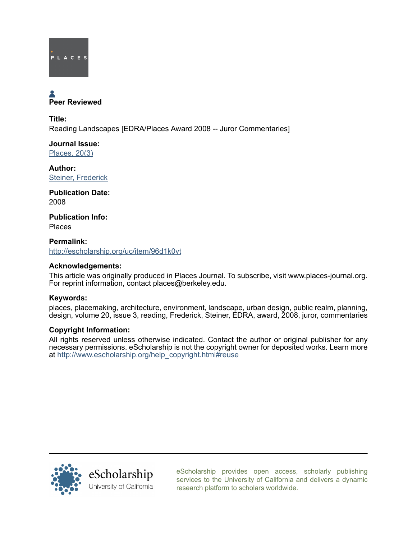

# **A**<br>Peer Reviewed

Title: Reading Landscapes [EDRA/Places Award 2008 -- Juror Commentaries]

Journal Issue: [Places, 20\(3\)](http://escholarship.org/uc/ced_places?volume=20;issue=3)

Author: [Steiner, Frederick](http://escholarship.org/uc/search?creator=Steiner%2C%20Frederick)

Publication Date: 2008

Publication Info: Places

Permalink: <http://escholarship.org/uc/item/96d1k0vt>

# Acknowledgements:

This article was originally produced in Places Journal. To subscribe, visit www.places-journal.org. For reprint information, contact places@berkeley.edu.

# Keywords:

places, placemaking, architecture, environment, landscape, urban design, public realm, planning, design, volume 20, issue 3, reading, Frederick, Steiner, EDRA, award, 2008, juror, commentaries

### Copyright Information:

All rights reserved unless otherwise indicated. Contact the author or original publisher for any necessary permissions. eScholarship is not the copyright owner for deposited works. Learn more at [http://www.escholarship.org/help\\_copyright.html#reuse](http://www.escholarship.org/help_copyright.html#reuse)



[eScholarship provides open access, scholarly publishing](http://escholarship.org) [services to the University of California and delivers a dynamic](http://escholarship.org) [research platform to scholars worldwide.](http://escholarship.org)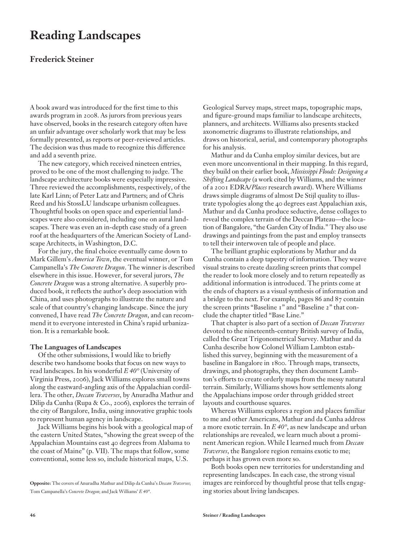# **Reading Landscapes**

# **Frederick Steiner**

A book award was introduced for the first time to this awards program in 2008. As jurors from previous years have observed, books in the research category often have an unfair advantage over scholarly work that may be less formally presented, as reports or peer-reviewed articles. The decision was thus made to recognize this difference and add a seventh prize.

The new category, which received nineteen entries, proved to be one of the most challenging to judge. The landscape architecture books were especially impressive. Three reviewed the accomplishments, respectively, of the late Karl Linn; of Peter Latz and Partners; and of Chris Reed and his StossLU landscape urbanism colleagues. Thoughtful books on open space and experiential landscapes were also considered, including one on aural landscapes. There was even an in-depth case study of a green roof at the headquarters of the American Society of Landscape Architects, in Washington, D.C.

For the jury, the final choice eventually came down to Mark Gillem's *America Town*, the eventual winner, or Tom Campanella's *The Concrete Dragon*. The winner is described elsewhere in this issue. However, for several jurors, *The Concrete Dragon* was a strong alternative. A superbly produced book, it reflects the author's deep association with China, and uses photographs to illustrate the nature and scale of that country's changing landscape. Since the jury convened, I have read *The Concrete Dragon*, and can recommend it to everyone interested in China's rapid urbanization. It is a remarkable book.

### **The Languages of Landscapes**

Of the other submissions, I would like to briefly describe two handsome books that focus on new ways to read landscapes. In his wonderful *E 40°* (University of Virginia Press, 2006), Jack Williams explores small towns along the eastward-angling axis of the Appalachian cordillera. The other, *Deccan Traverses*, by Anuradha Mathur and Dilip da Cunha (Rupa & Co., 2006), explores the terrain of the city of Bangalore, India, using innovative graphic tools to represent human agency in landscape.

Jack Williams begins his book with a geological map of the eastern United States, "showing the great sweep of the Appalachian Mountains east 40 degrees from Alabama to the coast of Maine" (p. VII). The maps that follow, some conventional, some less so, include historical maps, U.S.

Geological Survey maps, street maps, topographic maps, and figure-ground maps familiar to landscape architects, planners, and architects. Williams also presents stacked axonometric diagrams to illustrate relationships, and draws on historical, aerial, and contemporary photographs for his analysis.

Mathur and da Cunha employ similar devices, but are even more unconventional in their mapping. In this regard, they build on their earlier book, *Mississippi Floods: Designing a Shifting Landscape* (a work cited by Williams, and the winner of a 2001 EDRA/*Places* research award). Where Williams draws simple diagrams of almost De Stijl quality to illustrate typologies along the 40 degrees east Appalachian axis, Mathur and da Cunha produce seductive, dense collages to reveal the complex terrain of the Deccan Plateau—the location of Bangalore, "the Garden City of India." They also use drawings and paintings from the past and employ transects to tell their interwoven tale of people and place.

The brilliant graphic explorations by Mathur and da Cunha contain a deep tapestry of information. They weave visual strains to create dazzling screen prints that compel the reader to look more closely and to return repeatedly as additional information is introduced. The prints come at the ends of chapters as a visual synthesis of information and a bridge to the next. For example, pages 86 and 87 contain the screen prints "Baseline 1" and "Baseline 2" that conclude the chapter titled "Base Line."

That chapter is also part of a section of *Deccan Traverses*  devoted to the nineteenth-century British survey of India, called the Great Trigonometrical Survey. Mathur and da Cunha describe how Colonel William Lambton established this survey, beginning with the measurement of a baseline in Bangalore in 1800. Through maps, transects, drawings, and photographs, they then document Lambton's efforts to create orderly maps from the messy natural terrain. Similarly, Williams shows how settlements along the Appalachians impose order through gridded street layouts and courthouse squares.

Whereas Williams explores a region and places familiar to me and other Americans, Mathur and da Cunha address a more exotic terrain. In *E 40°*, as new landscape and urban relationships are revealed, we learn much about a prominent American region. While I learned much from *Deccan Traverses*, the Bangalore region remains exotic to me; perhaps it has grown even more so.

Both books open new territories for understanding and representing landscapes. In each case, the strong visual images are reinforced by thoughtful prose that tells engaging stories about living landscapes.

**Opposite:** The covers of Anuradha Mathur and Dilip da Cunha's *Deccan Traverses*; Tom Campanella's *Concrete Dragon*; and Jack Williams' *E 40°*.